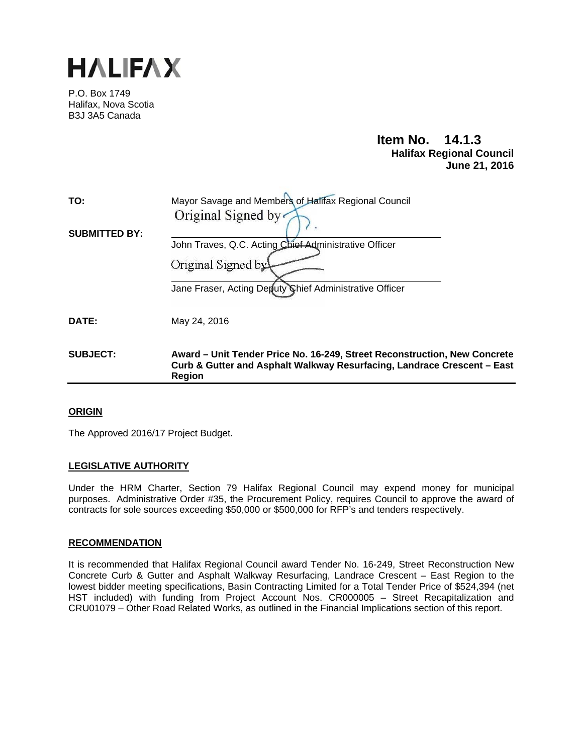

P.O. Box 1749 Halifax, Nova Scotia B3J 3A5 Canada

# **Item No. 14.1.3 Halifax Regional Council June 21, 2016**

| TO:                  | Mayor Savage and Members of Halifax Regional Council                                                                                                                  |
|----------------------|-----------------------------------------------------------------------------------------------------------------------------------------------------------------------|
|                      | Original Signed by                                                                                                                                                    |
| <b>SUBMITTED BY:</b> |                                                                                                                                                                       |
|                      | John Traves, Q.C. Acting Chief Administrative Officer                                                                                                                 |
|                      | Original Signed by                                                                                                                                                    |
|                      | Jane Fraser, Acting Deputy Chief Administrative Officer                                                                                                               |
| DATE:                | May 24, 2016                                                                                                                                                          |
| <b>SUBJECT:</b>      | Award – Unit Tender Price No. 16-249, Street Reconstruction, New Concrete<br>Curb & Gutter and Asphalt Walkway Resurfacing, Landrace Crescent - East<br><b>Region</b> |

## **ORIGIN**

The Approved 2016/17 Project Budget.

## **LEGISLATIVE AUTHORITY**

Under the HRM Charter, Section 79 Halifax Regional Council may expend money for municipal purposes. Administrative Order #35, the Procurement Policy, requires Council to approve the award of contracts for sole sources exceeding \$50,000 or \$500,000 for RFP's and tenders respectively.

## **RECOMMENDATION**

It is recommended that Halifax Regional Council award Tender No. 16-249, Street Reconstruction New Concrete Curb & Gutter and Asphalt Walkway Resurfacing, Landrace Crescent – East Region to the lowest bidder meeting specifications, Basin Contracting Limited for a Total Tender Price of \$524,394 (net HST included) with funding from Project Account Nos. CR000005 – Street Recapitalization and CRU01079 – Other Road Related Works, as outlined in the Financial Implications section of this report.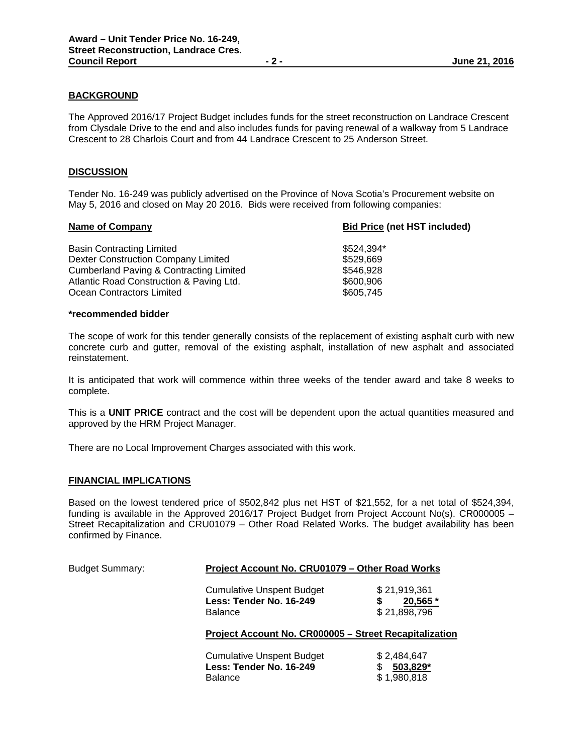## **BACKGROUND**

The Approved 2016/17 Project Budget includes funds for the street reconstruction on Landrace Crescent from Clysdale Drive to the end and also includes funds for paving renewal of a walkway from 5 Landrace Crescent to 28 Charlois Court and from 44 Landrace Crescent to 25 Anderson Street.

## **DISCUSSION**

Tender No. 16-249 was publicly advertised on the Province of Nova Scotia's Procurement website on May 5, 2016 and closed on May 20 2016. Bids were received from following companies:

| <b>Name of Company</b>                             | <b>Bid Price (net HST included)</b> |
|----------------------------------------------------|-------------------------------------|
| Basin Contracting Limited                          | \$524.394*                          |
| Dexter Construction Company Limited                | \$529,669                           |
| <b>Cumberland Paving &amp; Contracting Limited</b> | \$546,928                           |
| Atlantic Road Construction & Paving Ltd.           | \$600,906                           |
| Ocean Contractors Limited                          | \$605,745                           |
|                                                    |                                     |

#### **\*recommended bidder**

The scope of work for this tender generally consists of the replacement of existing asphalt curb with new concrete curb and gutter, removal of the existing asphalt, installation of new asphalt and associated reinstatement.

It is anticipated that work will commence within three weeks of the tender award and take 8 weeks to complete.

This is a **UNIT PRICE** contract and the cost will be dependent upon the actual quantities measured and approved by the HRM Project Manager.

There are no Local Improvement Charges associated with this work.

#### **FINANCIAL IMPLICATIONS**

Based on the lowest tendered price of \$502,842 plus net HST of \$21,552, for a net total of \$524,394, funding is available in the Approved 2016/17 Project Budget from Project Account No(s). CR000005 – Street Recapitalization and CRU01079 – Other Road Related Works. The budget availability has been confirmed by Finance.

| <b>Budget Summary:</b> | Project Account No. CRU01079 - Other Road Works                               |                                              |  |  |
|------------------------|-------------------------------------------------------------------------------|----------------------------------------------|--|--|
|                        | <b>Cumulative Unspent Budget</b><br>Less: Tender No. 16-249<br><b>Balance</b> | \$21,919,361<br>20,565 *<br>\$21,898,796     |  |  |
|                        | Project Account No. CR000005 - Street Recapitalization                        |                                              |  |  |
|                        | <b>Cumulative Unspent Budget</b><br>Less: Tender No. 16-249<br><b>Balance</b> | \$2,484,647<br>503,829*<br>\$<br>\$1,980,818 |  |  |